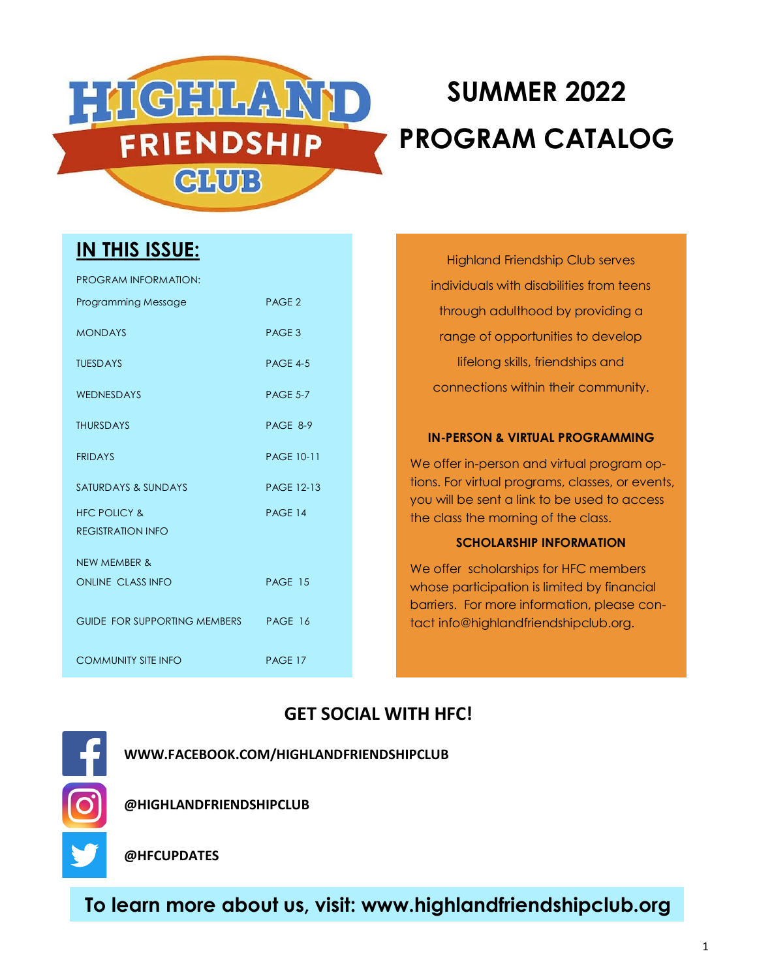

# **SUMMER 2022 PROGRAM CATALOG**

### **IN THIS ISSUE:**

| PROGRAM INFORMATION:                 |                   |
|--------------------------------------|-------------------|
| Programming Message                  | PAGE <sub>2</sub> |
| <b>MONDAYS</b>                       | PAGE 3            |
| <b>TUESDAYS</b>                      | <b>PAGE 4-5</b>   |
| WEDNESDAYS                           | <b>PAGE 5-7</b>   |
| <b>THURSDAYS</b>                     | PAGE 8-9          |
| <b>FRIDAYS</b>                       | <b>PAGE 10-11</b> |
| SATURDAYS & SUNDAYS                  | <b>PAGE 12-13</b> |
| <b>HFC POLICY &amp;</b>              | <b>PAGE 14</b>    |
| <b>REGISTRATION INFO</b>             |                   |
| <b>NEW MEMBER &amp;</b>              |                   |
| ONLINE CLASS INFO                    | PAGE 15           |
| GUIDE FOR SUPPORTING MEMBERS PAGE 16 |                   |
| <b>COMMUNITY SITE INFO</b>           | PAGE 17           |

Highland Friendship Club serves individuals with disabilities from teens through adulthood by providing a range of opportunities to develop lifelong skills, friendships and connections within their community.

#### **IN-PERSON & VIRTUAL PROGRAMMING**

We offer in-person and virtual program options. For virtual programs, classes, or events, you will be sent a link to be used to access the class the morning of the class.

#### **SCHOLARSHIP INFORMATION**

We offer scholarships for HFC members whose participation is limited by financial barriers. For more information, please contact info@highlandfriendshipclub.org.

### **GET SOCIAL WITH HFC!**

**WWW.FACEBOOK.COM/HIGHLANDFRIENDSHIPCLUB**



**@HIGHLANDFRIENDSHIPCLUB**

**@HFCUPDATES**

**To learn more about us, visit: www.highlandfriendshipclub.org**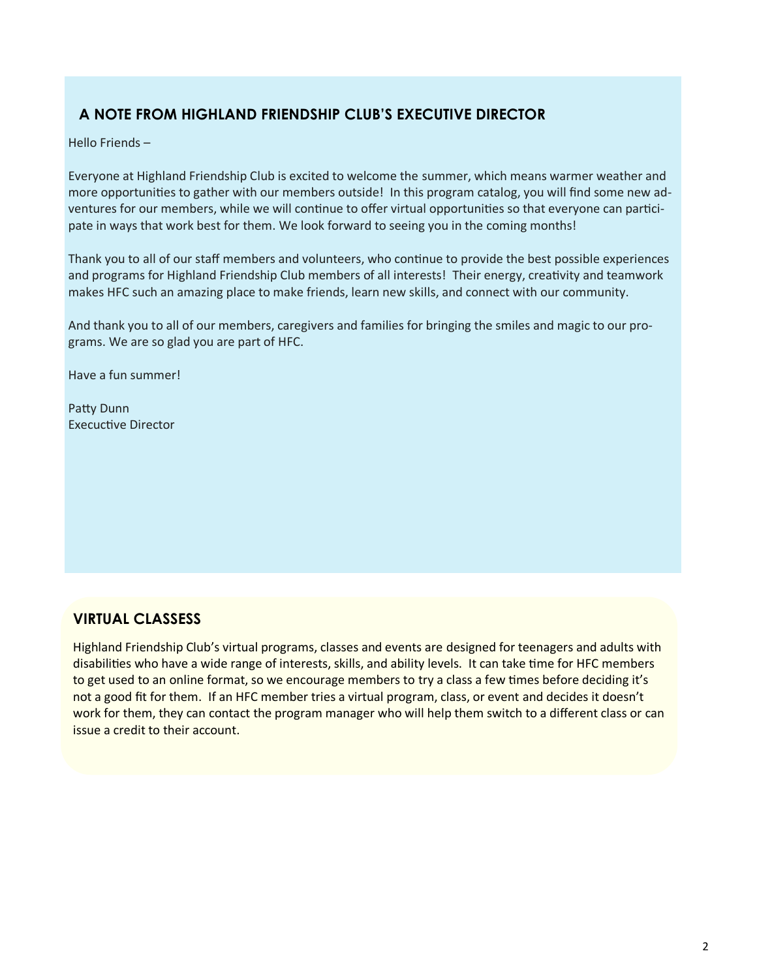### **A NOTE FROM HIGHLAND FRIENDSHIP CLUB'S EXECUTIVE DIRECTOR**

Hello Friends –

Everyone at Highland Friendship Club is excited to welcome the summer, which means warmer weather and more opportunities to gather with our members outside! In this program catalog, you will find some new adventures for our members, while we will continue to offer virtual opportunities so that everyone can participate in ways that work best for them. We look forward to seeing you in the coming months!

Thank you to all of our staff members and volunteers, who continue to provide the best possible experiences and programs for Highland Friendship Club members of all interests! Their energy, creativity and teamwork makes HFC such an amazing place to make friends, learn new skills, and connect with our community.

And thank you to all of our members, caregivers and families for bringing the smiles and magic to our programs. We are so glad you are part of HFC.

Have a fun summer!

Patty Dunn Execuctive Director

### **VIRTUAL CLASSESS**

Highland Friendship Club's virtual programs, classes and events are designed for teenagers and adults with disabilities who have a wide range of interests, skills, and ability levels. It can take time for HFC members to get used to an online format, so we encourage members to try a class a few times before deciding it's not a good fit for them. If an HFC member tries a virtual program, class, or event and decides it doesn't work for them, they can contact the program manager who will help them switch to a different class or can issue a credit to their account.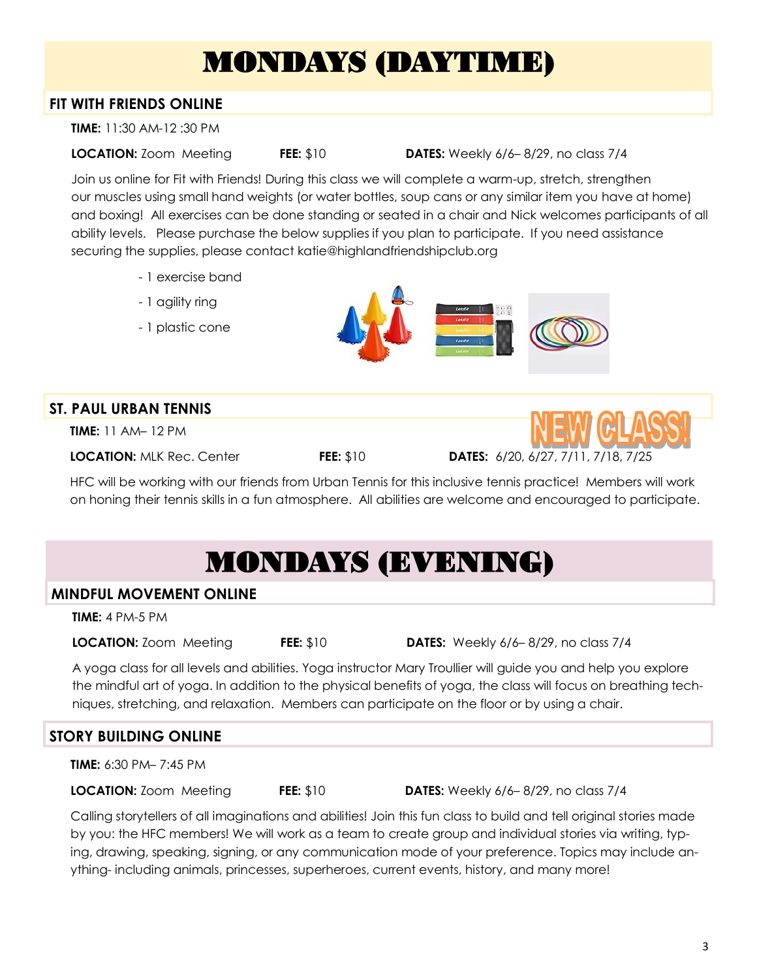# MONDAYS (DAYTIME)

### **FIT WITH FRIENDS ONLINE**

**TIME:** 11:30 AM-12 :30 PM

**LOCATION:** Zoom Meeting **FEE:** \$10 **DATES:** Weekly 6/6– 8/29, no class 7/4

Join us online for Fit with Friends! During this class we will complete a warm-up, stretch, strengthen our muscles using small hand weights (or water bottles, soup cans or any similar item you have at home) and boxing! All exercises can be done standing or seated in a chair and Nick welcomes participants of all ability levels. Please purchase the below supplies if you plan to participate. If you need assistance securing the supplies, please contact katie@highlandfriendshipclub.org

- 1 exercise band
- 1 agility ring
- 1 plastic cone



### **ST. PAUL URBAN TENNIS**

**TIME:** 11 AM– 12 PM

**LOCATION:** MLK Rec. Center **FEE:** \$10 **DATES:** 6/20, 6/27, 7/11, 7/18, 7/25



HFC will be working with our friends from Urban Tennis for this inclusive tennis practice! Members will work on honing their tennis skills in a fun atmosphere. All abilities are welcome and encouraged to participate.

# MONDAYS (EVENING)

### **MINDFUL MOVEMENT ONLINE**

**TIME:** 4 PM-5 PM

**LOCATION:** Zoom Meeting **FEE:** \$10 **DATES:** Weekly 6/6– 8/29, no class 7/4

A yoga class for all levels and abilities. Yoga instructor Mary Troullier will guide you and help you explore the mindful art of yoga. In addition to the physical benefits of yoga, the class will focus on breathing techniques, stretching, and relaxation. Members can participate on the floor or by using a chair.

### **STORY BUILDING ONLINE**

**TIME:** 6:30 PM– 7:45 PM

**LOCATION:** Zoom Meeting **FEE:** \$10 **DATES:** Weekly 6/6– 8/29, no class 7/4

Calling storytellers of all imaginations and abilities! Join this fun class to build and tell original stories made by you: the HFC members! We will work as a team to create group and individual stories via writing, typing, drawing, speaking, signing, or any communication mode of your preference. Topics may include anything- including animals, princesses, superheroes, current events, history, and many more!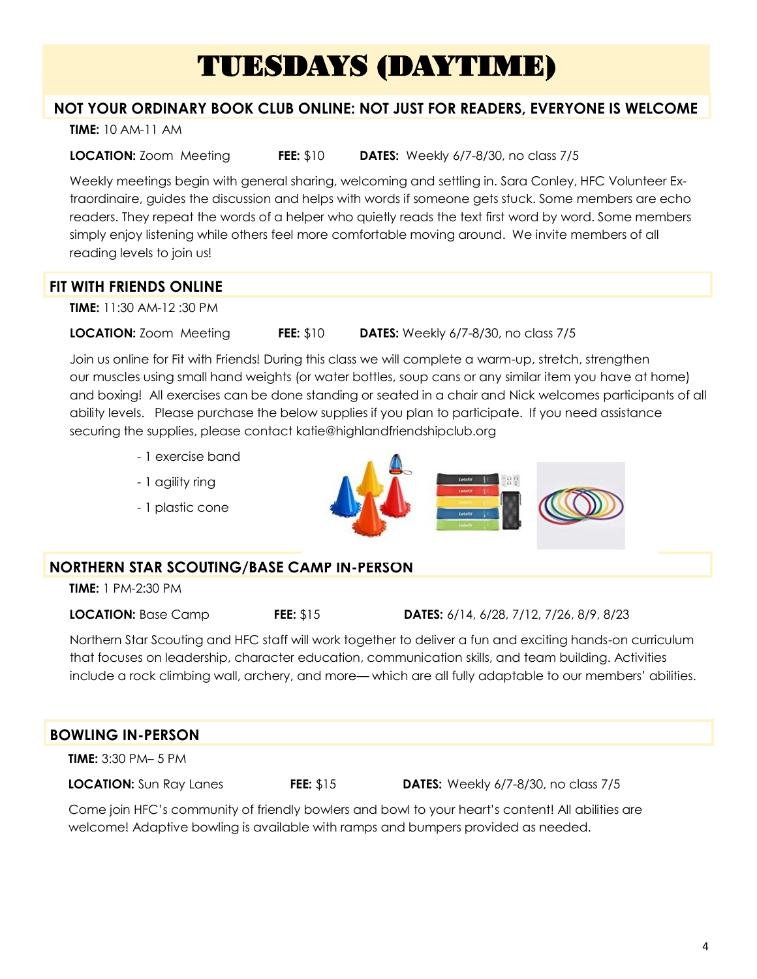## TUESDAYS (DAYTIME)

### **NOT YOUR ORDINARY BOOK CLUB ONLINE: NOT JUST FOR READERS, EVERYONE IS WELCOME**

**TIME:** 10 AM-11 AM

**LOCATION:** Zoom Meeting **FEE:** \$10 **DATES:** Weekly 6/7-8/30, no class 7/5

Weekly meetings begin with general sharing, welcoming and settling in. Sara Conley, HFC Volunteer Extraordinaire, guides the discussion and helps with words if someone gets stuck. Some members are echo readers. They repeat the words of a helper who quietly reads the text first word by word. Some members simply enjoy listening while others feel more comfortable moving around. We invite members of all reading levels to join us!

### **FIT WITH FRIENDS ONLINE**

**TIME:** 11:30 AM-12 :30 PM

**LOCATION:** Zoom Meeting **FEE:** \$10 **DATES:** Weekly 6/7-8/30, no class 7/5

Join us online for Fit with Friends! During this class we will complete a warm-up, stretch, strengthen our muscles using small hand weights (or water bottles, soup cans or any similar item you have at home) and boxing! All exercises can be done standing or seated in a chair and Nick welcomes participants of all ability levels. Please purchase the below supplies if you plan to participate. If you need assistance securing the supplies, please contact katie@highlandfriendshipclub.org

- 1 exercise band
- 1 agility ring
- 1 plastic cone



### **NORTHERN STAR SCOUTING/BASE CAMP IN-PERSON**

**TIME:** 1 PM-2:30 PM

**LOCATION:** Base Camp **FEE:** \$15 **DATES:** 6/14, 6/28, 7/12, 7/26, 8/9, 8/23

Northern Star Scouting and HFC staff will work together to deliver a fun and exciting hands-on curriculum that focuses on leadership, character education, communication skills, and team building. Activities include a rock climbing wall, archery, and more— which are all fully adaptable to our members' abilities.

| <b>BOWLING IN-PERSON</b>       |                  |                                                                                                    |  |
|--------------------------------|------------------|----------------------------------------------------------------------------------------------------|--|
| <b>TIME:</b> 3:30 PM- 5 PM     |                  |                                                                                                    |  |
| <b>LOCATION:</b> Sun Ray Lanes | <b>FEE: \$15</b> | <b>DATES:</b> Weekly 6/7-8/30, no class 7/5                                                        |  |
|                                |                  | Come join HFC's community of friendly bowlers and bowl to your heart's content   All abilities are |  |

oin HFC's community of friendly bowlers and bowl to your heart's content! All abilities are welcome! Adaptive bowling is available with ramps and bumpers provided as needed.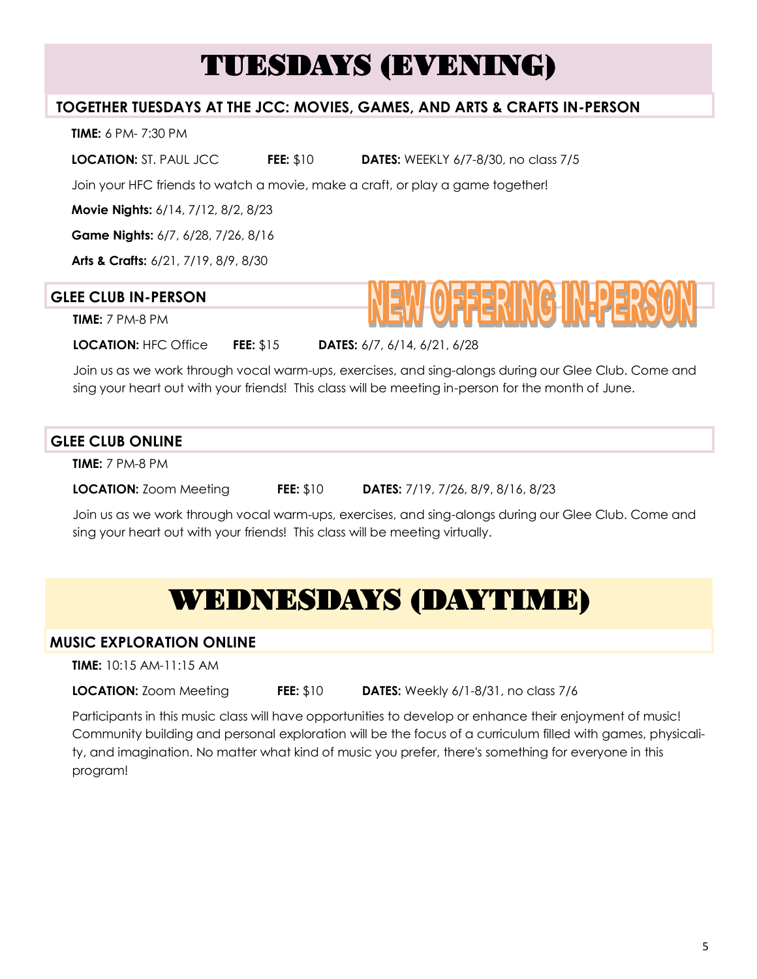## TUESDAYS (EVENING)

### **TOGETHER TUESDAYS AT THE JCC: MOVIES, GAMES, AND ARTS & CRAFTS IN-PERSON**

**TIME:** 6 PM- 7:30 PM

**LOCATION:** ST. PAUL JCC **FEE:** \$10 **DATES:** WEEKLY 6/7-8/30, no class 7/5

Join your HFC friends to watch a movie, make a craft, or play a game together!

**Movie Nights:** 6/14, 7/12, 8/2, 8/23

**Game Nights:** 6/7, 6/28, 7/26, 8/16

**Arts & Crafts:** 6/21, 7/19, 8/9, 8/30

### **GLEE CLUB IN-PERSON**

**TIME:** 7 PM-8 PM

**LOCATION:** HFC Office **FEE:** \$15 **DATES:** 6/7, 6/14, 6/21, 6/28

Join us as we work through vocal warm-ups, exercises, and sing-alongs during our Glee Club. Come and sing your heart out with your friends! This class will be meeting in-person for the month of June.

### **GLEE CLUB ONLINE**

**TIME:** 7 PM-8 PM

**LOCATION:** Zoom Meeting **FEE:** \$10 **DATES:** 7/19, 7/26, 8/9, 8/16, 8/23

Join us as we work through vocal warm-ups, exercises, and sing-alongs during our Glee Club. Come and sing your heart out with your friends! This class will be meeting virtually.

### WEDNESDAYS (DAYTIME)

### **MUSIC EXPLORATION ONLINE**

**TIME:** 10:15 AM-11:15 AM

**LOCATION:** Zoom Meeting **FEE:** \$10 **DATES:** Weekly 6/1-8/31, no class 7/6

Participants in this music class will have opportunities to develop or enhance their enjoyment of music! Community building and personal exploration will be the focus of a curriculum filled with games, physicality, and imagination. No matter what kind of music you prefer, there's something for everyone in this program!

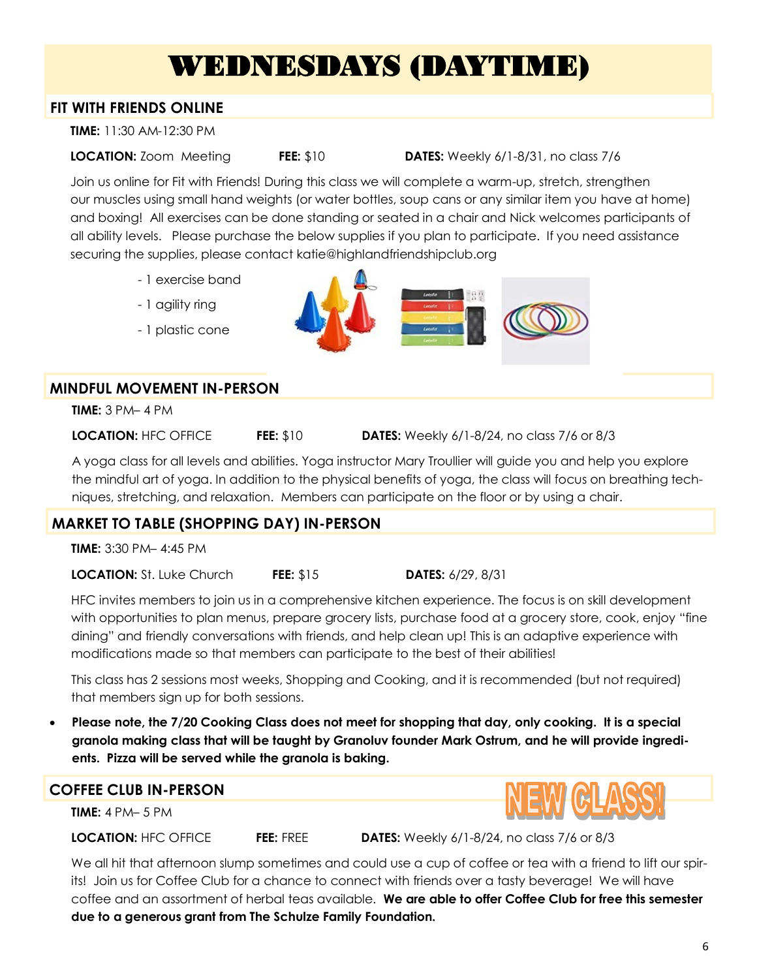## WEDNESDAYS (DAYTIME)

#### **FIT WITH FRIENDS ONLINE**

**TIME:** 11:30 AM-12:30 PM

**LOCATION:** Zoom Meeting **FEE:** \$10 **DATES:** Weekly 6/1-8/31, no class 7/6

Join us online for Fit with Friends! During this class we will complete a warm-up, stretch, strengthen our muscles using small hand weights (or water bottles, soup cans or any similar item you have at home) and boxing! All exercises can be done standing or seated in a chair and Nick welcomes participants of all ability levels. Please purchase the below supplies if you plan to participate. If you need assistance securing the supplies, please contact katie@highlandfriendshipclub.org

- 1 exercise band
- 1 agility ring
- 1 plastic cone



### **MINDFUL MOVEMENT IN-PERSON**

**TIME:** 3 PM– 4 PM

**LOCATION:** HFC OFFICE **FEE:** \$10 **DATES:** Weekly 6/1-8/24, no class 7/6 or 8/3

A yoga class for all levels and abilities. Yoga instructor Mary Troullier will guide you and help you explore the mindful art of yoga. In addition to the physical benefits of yoga, the class will focus on breathing techniques, stretching, and relaxation. Members can participate on the floor or by using a chair.

### **MARKET TO TABLE (SHOPPING DAY) IN-PERSON**

**TIME:** 3:30 PM– 4:45 PM

**LOCATION:** St. Luke Church **FEE:** \$15 **DATES:** 6/29, 8/31

HFC invites members to join us in a comprehensive kitchen experience. The focus is on skill development with opportunities to plan menus, prepare grocery lists, purchase food at a grocery store, cook, enjoy "fine dining" and friendly conversations with friends, and help clean up! This is an adaptive experience with modifications made so that members can participate to the best of their abilities!

This class has 2 sessions most weeks, Shopping and Cooking, and it is recommended (but not required) that members sign up for both sessions.

• **Please note, the 7/20 Cooking Class does not meet for shopping that day, only cooking. It is a special granola making class that will be taught by Granoluv founder Mark Ostrum, and he will provide ingredients. Pizza will be served while the granola is baking.**

### **COFFEE CLUB IN-PERSON**

**TIME:** 4 PM– 5 PM

**LOCATION:** HFC OFFICE **FEE:** FREE **DATES:** Weekly 6/1-8/24, no class 7/6 or 8/3

We all hit that afternoon slump sometimes and could use a cup of coffee or tea with a friend to lift our spirits! Join us for Coffee Club for a chance to connect with friends over a tasty beverage! We will have coffee and an assortment of herbal teas available. **We are able to offer Coffee Club for free this semester due to a generous grant from The Schulze Family Foundation.**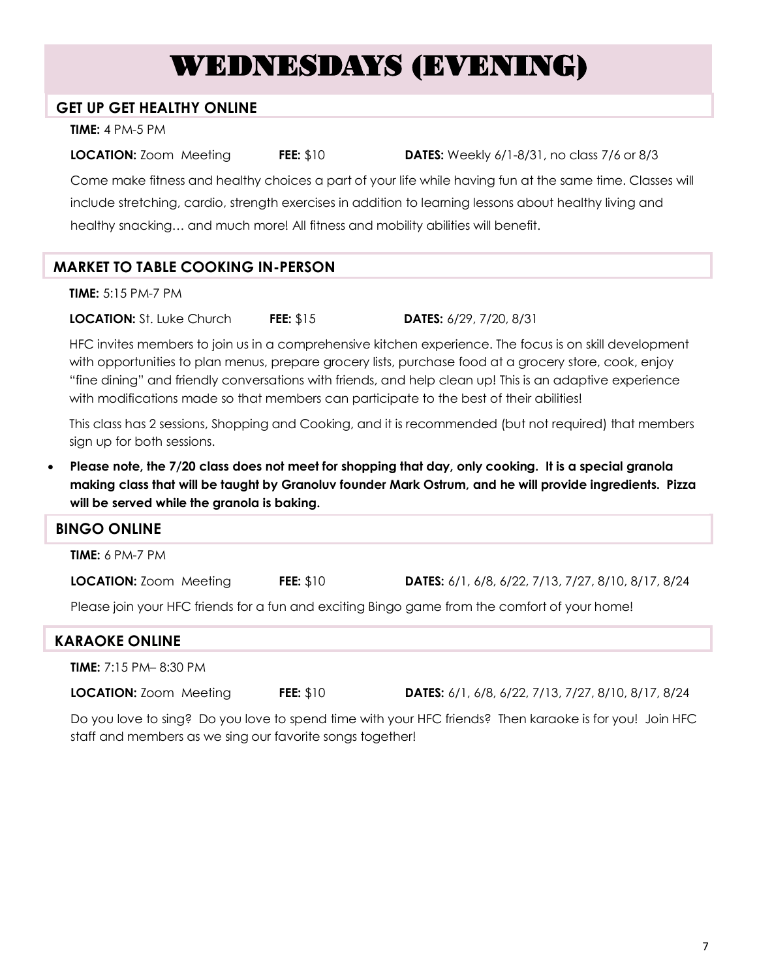## WEDNESDAYS (EVENING)

#### **GET UP GET HEALTHY ONLINE**

**TIME:** 4 PM-5 PM

**LOCATION:** Zoom Meeting **FEE:** \$10 **DATES:** Weekly 6/1-8/31, no class 7/6 or 8/3 Come make fitness and healthy choices a part of your life while having fun at the same time. Classes will include stretching, cardio, strength exercises in addition to learning lessons about healthy living and healthy snacking… and much more! All fitness and mobility abilities will benefit.

### **MARKET TO TABLE COOKING IN-PERSON**

**TIME:** 5:15 PM-7 PM

**LOCATION:** St. Luke Church **FEE:** \$15 **DATES:** 6/29, 7/20, 8/31

HFC invites members to join us in a comprehensive kitchen experience. The focus is on skill development with opportunities to plan menus, prepare grocery lists, purchase food at a grocery store, cook, enjoy "fine dining" and friendly conversations with friends, and help clean up! This is an adaptive experience with modifications made so that members can participate to the best of their abilities!

This class has 2 sessions, Shopping and Cooking, and it is recommended (but not required) that members sign up for both sessions.

• **Please note, the 7/20 class does not meet for shopping that day, only cooking. It is a special granola making class that will be taught by Granoluv founder Mark Ostrum, and he will provide ingredients. Pizza will be served while the granola is baking.**

| <b>BINGO ONLINE</b>                                                                           |                  |                                                            |
|-----------------------------------------------------------------------------------------------|------------------|------------------------------------------------------------|
| <b>TIME:</b> $6 PM-Z PM$                                                                      |                  |                                                            |
| <b>LOCATION: Zoom Meeting</b>                                                                 | <b>FEE: \$10</b> | <b>DATES:</b> 6/1, 6/8, 6/22, 7/13, 7/27, 8/10, 8/17, 8/24 |
| Please join your HFC friends for a fun and exciting Bingo game from the comfort of your home! |                  |                                                            |

| <b>KARAOKE ONLINE</b>           |                  |                                                                                                                                                                                                                                                                                                                         |
|---------------------------------|------------------|-------------------------------------------------------------------------------------------------------------------------------------------------------------------------------------------------------------------------------------------------------------------------------------------------------------------------|
| <b>TIME:</b> $7:15$ PM- 8:30 PM |                  |                                                                                                                                                                                                                                                                                                                         |
| <b>LOCATION:</b> Zoom Meeting   | <b>FEE:</b> \$10 | <b>DATES:</b> 6/1, 6/8, 6/22, 7/13, 7/27, 8/10, 8/17, 8/24                                                                                                                                                                                                                                                              |
|                                 |                  | $\mathbf{r}$ , $\mathbf{r}$ , $\mathbf{r}$ , $\mathbf{r}$ , $\mathbf{r}$ , $\mathbf{r}$ , $\mathbf{r}$ , $\mathbf{r}$ , $\mathbf{r}$ , $\mathbf{r}$ , $\mathbf{r}$ , $\mathbf{r}$ , $\mathbf{r}$ , $\mathbf{r}$ , $\mathbf{r}$ , $\mathbf{r}$ , $\mathbf{r}$ , $\mathbf{r}$ , $\mathbf{r}$ , $\mathbf{r}$ ,<br>$\cdots$ |

Do you love to sing? Do you love to spend time with your HFC friends? Then karaoke is for you! Join HFC staff and members as we sing our favorite songs together!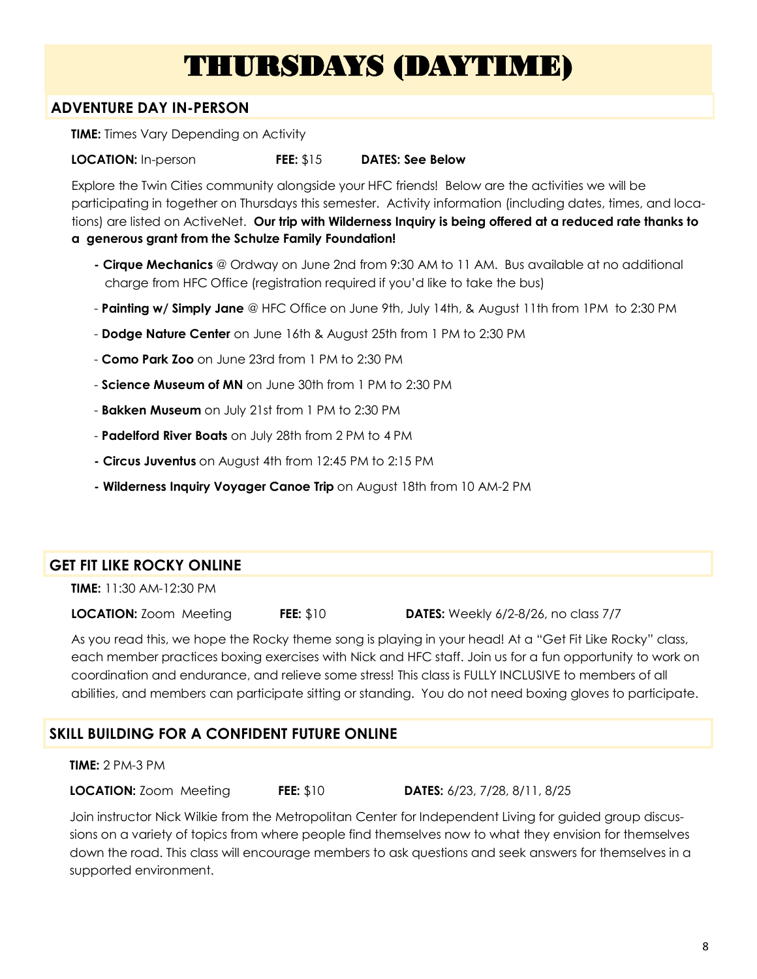## THURSDAYS (DAYTIME)

### **ADVENTURE DAY IN-PERSON**

**TIME:** Times Vary Depending on Activity

**LOCATION:** In-person **FEE:** \$15 **DATES: See Below**

Explore the Twin Cities community alongside your HFC friends! Below are the activities we will be participating in together on Thursdays this semester. Activity information (including dates, times, and locations) are listed on ActiveNet. **Our trip with Wilderness Inquiry is being offered at a reduced rate thanks to a generous grant from the Schulze Family Foundation!**

- **- Cirque Mechanics** @ Ordway on June 2nd from 9:30 AM to 11 AM. Bus available at no additional charge from HFC Office (registration required if you'd like to take the bus)
- **Painting w/ Simply Jane** @ HFC Office on June 9th, July 14th, & August 11th from 1PM to 2:30 PM
- **Dodge Nature Center** on June 16th & August 25th from 1 PM to 2:30 PM
- **Como Park Zoo** on June 23rd from 1 PM to 2:30 PM
- **Science Museum of MN** on June 30th from 1 PM to 2:30 PM
- **Bakken Museum** on July 21st from 1 PM to 2:30 PM
- **Padelford River Boats** on July 28th from 2 PM to 4 PM
- **- Circus Juventus** on August 4th from 12:45 PM to 2:15 PM
- **- Wilderness Inquiry Voyager Canoe Trip** on August 18th from 10 AM-2 PM

### **GET FIT LIKE ROCKY ONLINE**

**TIME:** 11:30 AM-12:30 PM

**LOCATION:** Zoom Meeting **FEE:** \$10 **DATES:** Weekly 6/2-8/26, no class 7/7

As you read this, we hope the Rocky theme song is playing in your head! At a "Get Fit Like Rocky" class, each member practices boxing exercises with Nick and HFC staff. Join us for a fun opportunity to work on coordination and endurance, and relieve some stress! This class is FULLY INCLUSIVE to members of all abilities, and members can participate sitting or standing. You do not need boxing gloves to participate.

### **SKILL BUILDING FOR A CONFIDENT FUTURE ONLINE**

#### **TIME:** 2 PM-3 PM

**LOCATION:** Zoom Meeting **FEE:** \$10 **DATES:** 6/23, 7/28, 8/11, 8/25

Join instructor Nick Wilkie from the Metropolitan Center for Independent Living for guided group discussions on a variety of topics from where people find themselves now to what they envision for themselves down the road. This class will encourage members to ask questions and seek answers for themselves in a supported environment.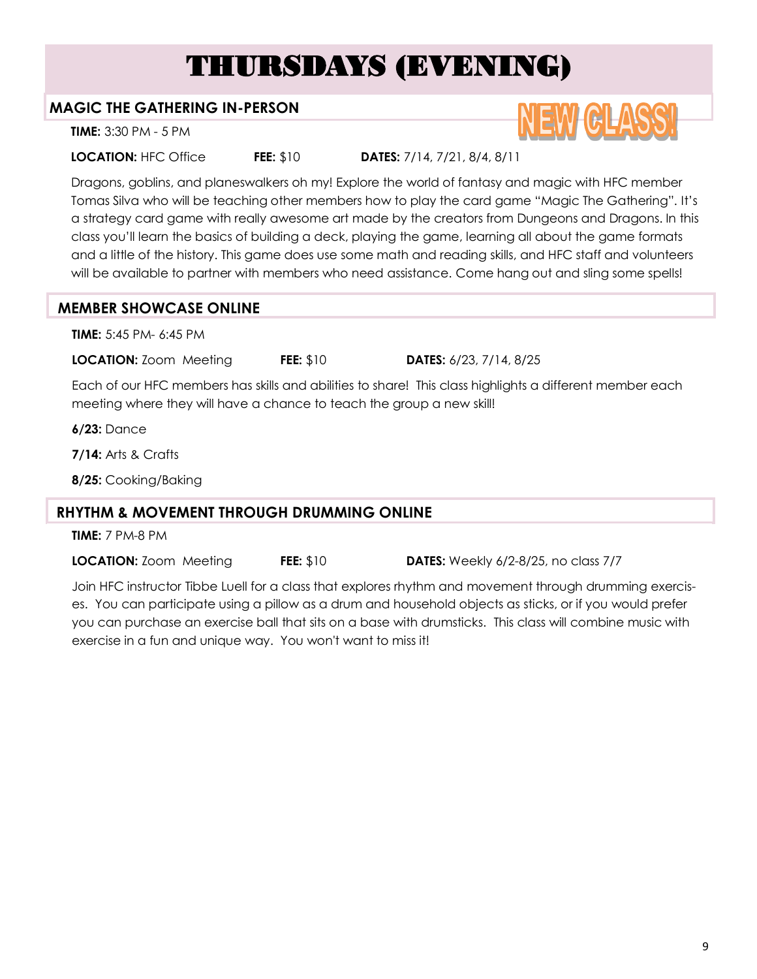## THURSDAYS (EVENING)

### **MAGIC THE GATHERING IN-PERSON**

**TIME:** 3:30 PM - 5 PM

**LOCATION:** HFC Office **FEE:** \$10 **DATES:** 7/14, 7/21, 8/4, 8/11

Dragons, goblins, and planeswalkers oh my! Explore the world of fantasy and magic with HFC member Tomas Silva who will be teaching other members how to play the card game "Magic The Gathering". It's a strategy card game with really awesome art made by the creators from Dungeons and Dragons. In this class you'll learn the basics of building a deck, playing the game, learning all about the game formats and a little of the history. This game does use some math and reading skills, and HFC staff and volunteers will be available to partner with members who need assistance. Come hang out and sling some spells!

### **MEMBER SHOWCASE ONLINE**

**TIME:** 5:45 PM- 6:45 PM

**LOCATION:** Zoom Meeting **FEE:** \$10 **DATES:** 6/23, 7/14, 8/25

Each of our HFC members has skills and abilities to share! This class highlights a different member each meeting where they will have a chance to teach the group a new skill!

**6/23:** Dance

**7/14:** Arts & Crafts

**8/25:** Cooking/Baking

### **RHYTHM & MOVEMENT THROUGH DRUMMING ONLINE**

**TIME:** 7 PM-8 PM

**LOCATION:** Zoom Meeting **FEE:** \$10 **DATES:** Weekly 6/2-8/25, no class 7/7

Join HFC instructor Tibbe Luell for a class that explores rhythm and movement through drumming exercises. You can participate using a pillow as a drum and household objects as sticks, or if you would prefer you can purchase an exercise ball that sits on a base with drumsticks. This class will combine music with exercise in a fun and unique way. You won't want to miss it!

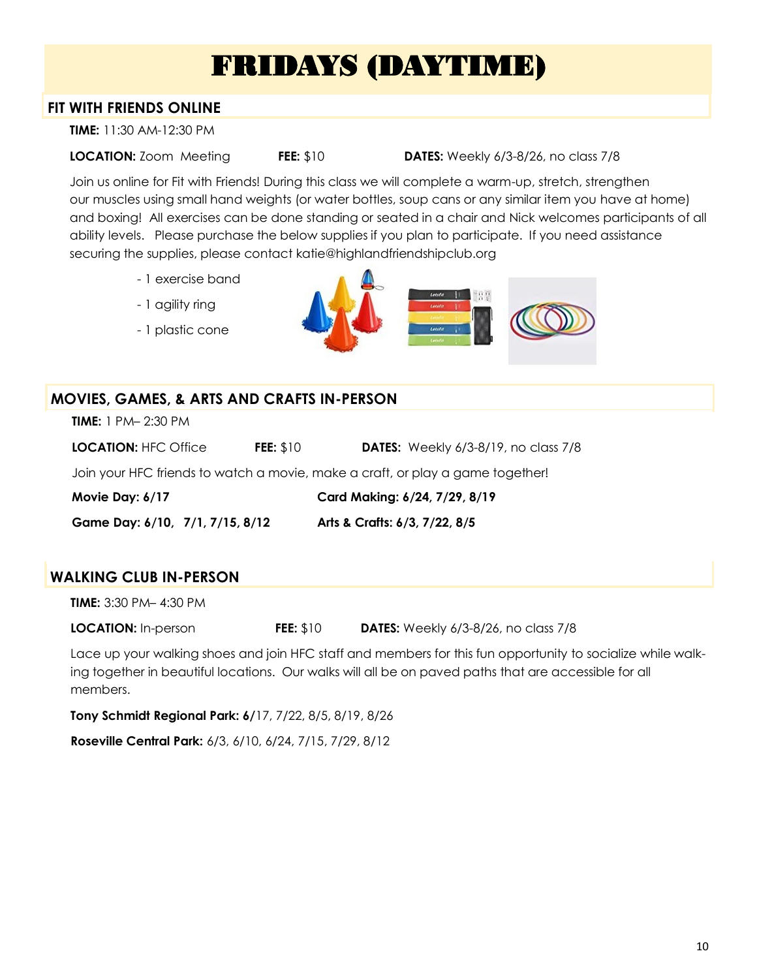## FRIDAYS (DAYTIME)

### **FIT WITH FRIENDS ONLINE**

**TIME:** 11:30 AM-12:30 PM

**LOCATION:** Zoom Meeting **FEE:** \$10 **DATES:** Weekly 6/3-8/26, no class 7/8

Join us online for Fit with Friends! During this class we will complete a warm-up, stretch, strengthen our muscles using small hand weights (or water bottles, soup cans or any similar item you have at home) and boxing! All exercises can be done standing or seated in a chair and Nick welcomes participants of all ability levels. Please purchase the below supplies if you plan to participate. If you need assistance securing the supplies, please contact katie@highlandfriendshipclub.org

- 1 exercise band
- 1 agility ring
- 1 plastic cone



### **MOVIES, GAMES, & ARTS AND CRAFTS IN-PERSON**

**TIME:** 1 PM– 2:30 PM

| LOCATION: HFC Office | <b>FEE: \$10</b> | <b>DATES:</b> Weekly 6/3-8/19, no class 7/8 |
|----------------------|------------------|---------------------------------------------|
|                      |                  |                                             |

Join your HFC friends to watch a movie, make a craft, or play a game together!

**Movie Day: 6/17 Card Making: 6/24, 7/29, 8/19**

**Game Day: 6/10, 7/1, 7/15, 8/12 Arts & Crafts: 6/3, 7/22, 8/5**

### **WALKING CLUB IN-PERSON**

**TIME:** 3:30 PM– 4:30 PM

**LOCATION:** In-person **FEE:** \$10 **DATES:** Weekly 6/3-8/26, no class 7/8

Lace up your walking shoes and join HFC staff and members for this fun opportunity to socialize while walking together in beautiful locations. Our walks will all be on paved paths that are accessible for all members.

**Tony Schmidt Regional Park: 6/**17, 7/22, 8/5, 8/19, 8/26

**Roseville Central Park:** 6/3, 6/10, 6/24, 7/15, 7/29, 8/12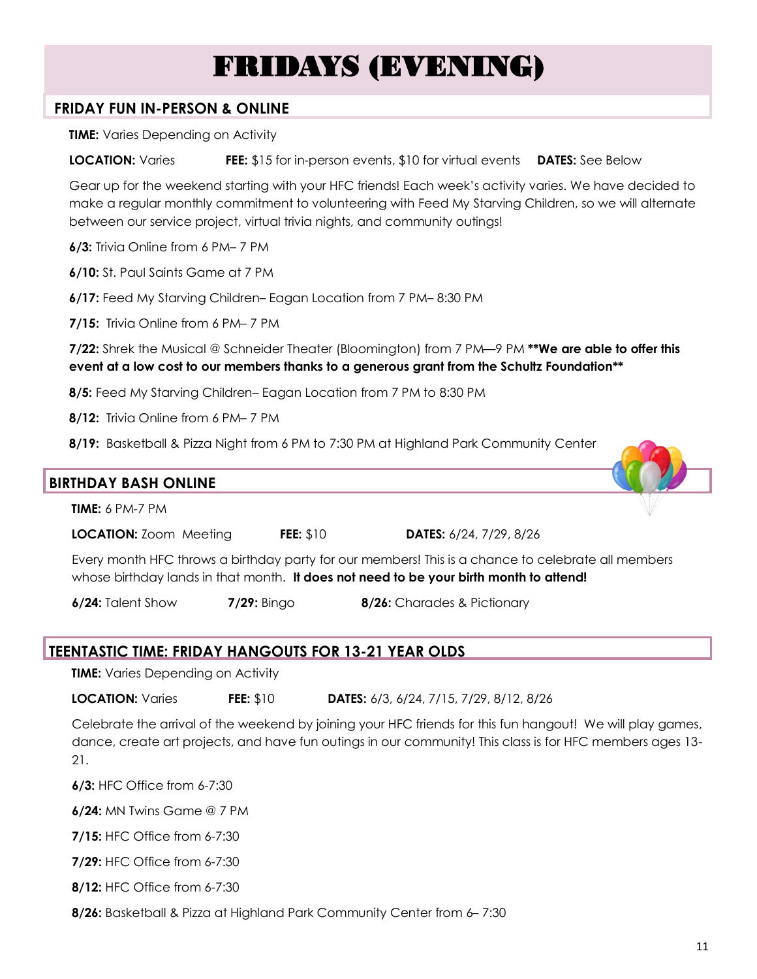## FRIDAYS (EVENING)

### **FRIDAY FUN IN-PERSON & ONLINE**

**TIME:** Varies Depending on Activity

**LOCATION:** Varies **FEE:** \$15 for in-person events, \$10 for virtual events **DATES:** See Below

Gear up for the weekend starting with your HFC friends! Each week's activity varies. We have decided to make a regular monthly commitment to volunteering with Feed My Starving Children, so we will alternate between our service project, virtual trivia nights, and community outings!

**6/3:** Trivia Online from 6 PM– 7 PM

**6/10:** St. Paul Saints Game at 7 PM

**6/17:** Feed My Starving Children– Eagan Location from 7 PM– 8:30 PM

**7/15:** Trivia Online from 6 PM– 7 PM

**7/22:** Shrek the Musical @ Schneider Theater (Bloomington) from 7 PM—9 PM **\*\*We are able to offer this event at a low cost to our members thanks to a generous grant from the Schultz Foundation\*\***

**8/5:** Feed My Starving Children– Eagan Location from 7 PM to 8:30 PM

**8/12:** Trivia Online from 6 PM– 7 PM

**8/19:** Basketball & Pizza Night from 6 PM to 7:30 PM at Highland Park Community Center



**LOCATION:** Zoom Meeting **FEE:** \$10 **DATES:** 6/24, 7/29, 8/26

Every month HFC throws a birthday party for our members! This is a chance to celebrate all members whose birthday lands in that month. **It does not need to be your birth month to attend!**

**6/24:** Talent Show **7/29:** Bingo **8/26:** Charades & Pictionary

### **TEENTASTIC TIME: FRIDAY HANGOUTS FOR 13-21 YEAR OLDS**

**TIME:** Varies Depending on Activity

**LOCATION:** Varies **FEE:** \$10 **DATES:** 6/3, 6/24, 7/15, 7/29, 8/12, 8/26

Celebrate the arrival of the weekend by joining your HFC friends for this fun hangout! We will play games, dance, create art projects, and have fun outings in our community! This class is for HFC members ages 13- 21.

**6/3:** HFC Office from 6-7:30

**6/24:** MN Twins Game @ 7 PM

**7/15:** HFC Office from 6-7:30

**7/29:** HFC Office from 6-7:30

**8/12:** HFC Office from 6-7:30

**8/26:** Basketball & Pizza at Highland Park Community Center from 6– 7:30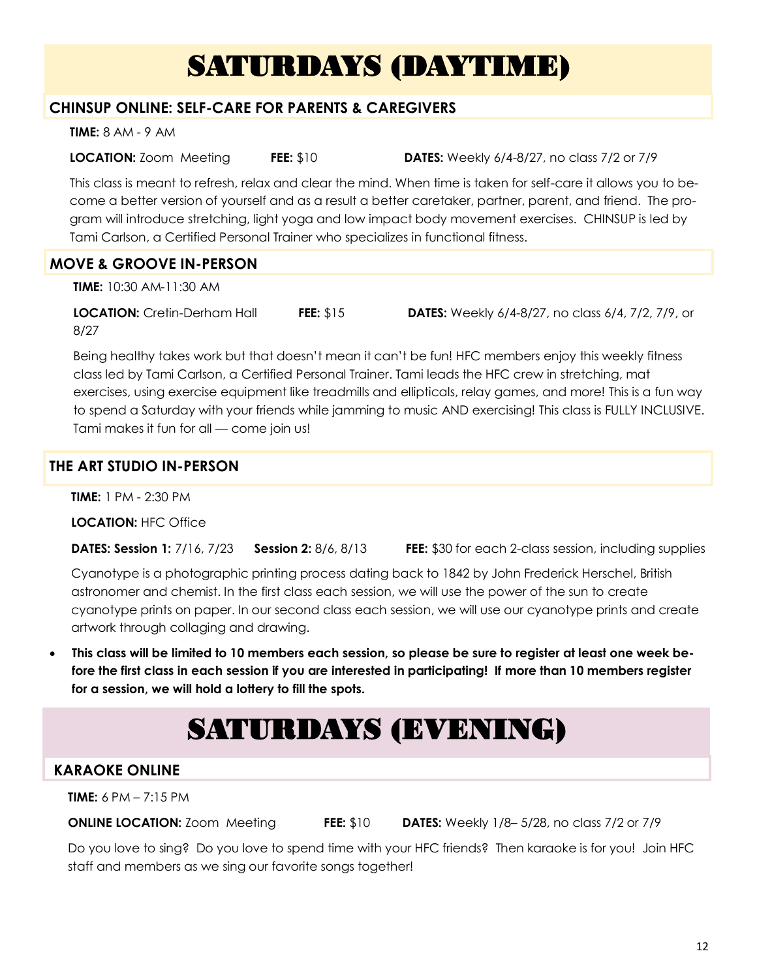## SATURDAYS (DAYTIME)

### **CHINSUP ONLINE: SELF-CARE FOR PARENTS & CAREGIVERS**

**TIME:** 8 AM - 9 AM

**LOCATION:** Zoom Meeting **FEE:** \$10 **DATES:** Weekly 6/4-8/27, no class 7/2 or 7/9

This class is meant to refresh, relax and clear the mind. When time is taken for self-care it allows you to become a better version of yourself and as a result a better caretaker, partner, parent, and friend. The program will introduce stretching, light yoga and low impact body movement exercises. CHINSUP is led by Tami Carlson, a Certified Personal Trainer who specializes in functional fitness.

### **MOVE & GROOVE IN-PERSON**

**TIME:** 10:30 AM-11:30 AM

**LOCATION:** Cretin-Derham Hall **FEE:** \$15 **DATES:** Weekly 6/4-8/27, no class 6/4, 7/2, 7/9, or 8/27

Being healthy takes work but that doesn't mean it can't be fun! HFC members enjoy this weekly fitness class led by Tami Carlson, a Certified Personal Trainer. Tami leads the HFC crew in stretching, mat exercises, using exercise equipment like treadmills and ellipticals, relay games, and more! This is a fun way to spend a Saturday with your friends while jamming to music AND exercising! This class is FULLY INCLUSIVE. Tami makes it fun for all — come join us!

### **THE ART STUDIO IN-PERSON**

**TIME:** 1 PM - 2:30 PM

**LOCATION:** HFC Office

**DATES: Session 1:** 7/16, 7/23 **Session 2:** 8/6, 8/13 **FEE:** \$30 for each 2-class session, including supplies

Cyanotype is a photographic printing process dating back to 1842 by John Frederick Herschel, British astronomer and chemist. In the first class each session, we will use the power of the sun to create cyanotype prints on paper. In our second class each session, we will use our cyanotype prints and create artwork through collaging and drawing.

• **This class will be limited to 10 members each session, so please be sure to register at least one week before the first class in each session if you are interested in participating! If more than 10 members register for a session, we will hold a lottery to fill the spots.**

## SATURDAYS (EVENING)

### **KARAOKE ONLINE**

**TIME:** 6 PM – 7:15 PM

**ONLINE LOCATION:** Zoom Meeting **FEE:** \$10 **DATES:** Weekly 1/8– 5/28, no class 7/2 or 7/9

Do you love to sing? Do you love to spend time with your HFC friends? Then karaoke is for you! Join HFC staff and members as we sing our favorite songs together!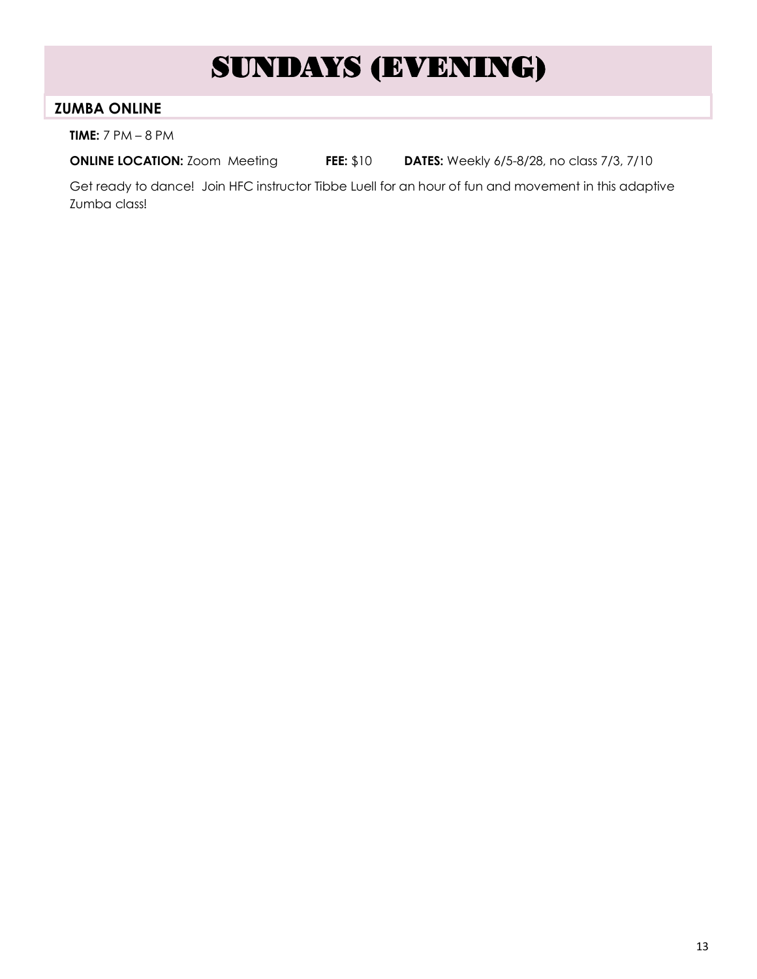## SUNDAYS (EVENING)

### **ZUMBA ONLINE**

**TIME:** 7 PM – 8 PM

**ONLINE LOCATION:** Zoom Meeting **FEE:** \$10 **DATES:** Weekly 6/5-8/28, no class 7/3, 7/10

Get ready to dance! Join HFC instructor Tibbe Luell for an hour of fun and movement in this adaptive Zumba class!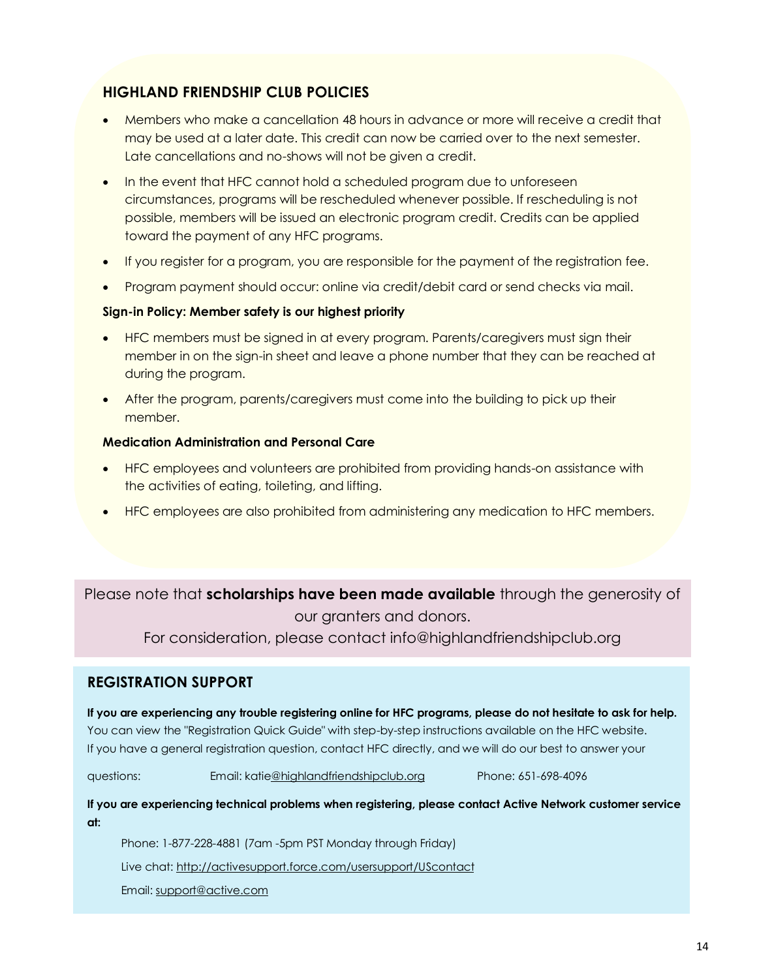### **HIGHLAND FRIENDSHIP CLUB POLICIES**

- Members who make a cancellation 48 hours in advance or more will receive a credit that may be used at a later date. This credit can now be carried over to the next semester. Late cancellations and no-shows will not be given a credit.
- In the event that HFC cannot hold a scheduled program due to unforeseen circumstances, programs will be rescheduled whenever possible. If rescheduling is not possible, members will be issued an electronic program credit. Credits can be applied toward the payment of any HFC programs.
- If you register for a program, you are responsible for the payment of the registration fee.
- Program payment should occur: online via credit/debit card or send checks via mail.

#### **Sign-in Policy: Member safety is our highest priority**

- HFC members must be signed in at every program. Parents/caregivers must sign their member in on the sign-in sheet and leave a phone number that they can be reached at during the program.
- After the program, parents/caregivers must come into the building to pick up their member.

#### **Medication Administration and Personal Care**

- HFC employees and volunteers are prohibited from providing hands-on assistance with the activities of eating, toileting, and lifting.
- HFC employees are also prohibited from administering any medication to HFC members.

Please note that **scholarships have been made available** through the generosity of our granters and donors.

For consideration, please contact info@highlandfriendshipclub.org

### **REGISTRATION SUPPORT**

**If you are experiencing any trouble registering online for HFC programs, please do not hesitate to ask for help.** You can view the "Registration Quick Guide" with step-by-step instructions available on the HFC website. If you have a general registration question, contact HFC directly, and we will do our best to answer your

questions: Email: kati[e@highlandfriendshipclub.org](https://activeworks.active.com/click/1/232888303/631df15b-be4a-4479-917e-f5796e3042a3/ASHLEY@HIGHLANDFRIENDSHIPCLUB.ORG/) Phone: 651-698-4096

**If you are experiencing technical problems when registering, please contact Active Network customer service at:**

Phone: 1-877-228-4881 (7am -5pm PST Monday through Friday)

Live chat: [http://activesupport.force.com/usersupport/UScontact](https://activeworks.active.com/click/1/232845804/631df15b-be4a-4479-917e-f5796e3042a3/ASHLEY@HIGHLANDFRIENDSHIPCLUB.ORG/)

Email: [support@active.com](https://activeworks.active.com/click/1/232938001/631df15b-be4a-4479-917e-f5796e3042a3/ASHLEY@HIGHLANDFRIENDSHIPCLUB.ORG/)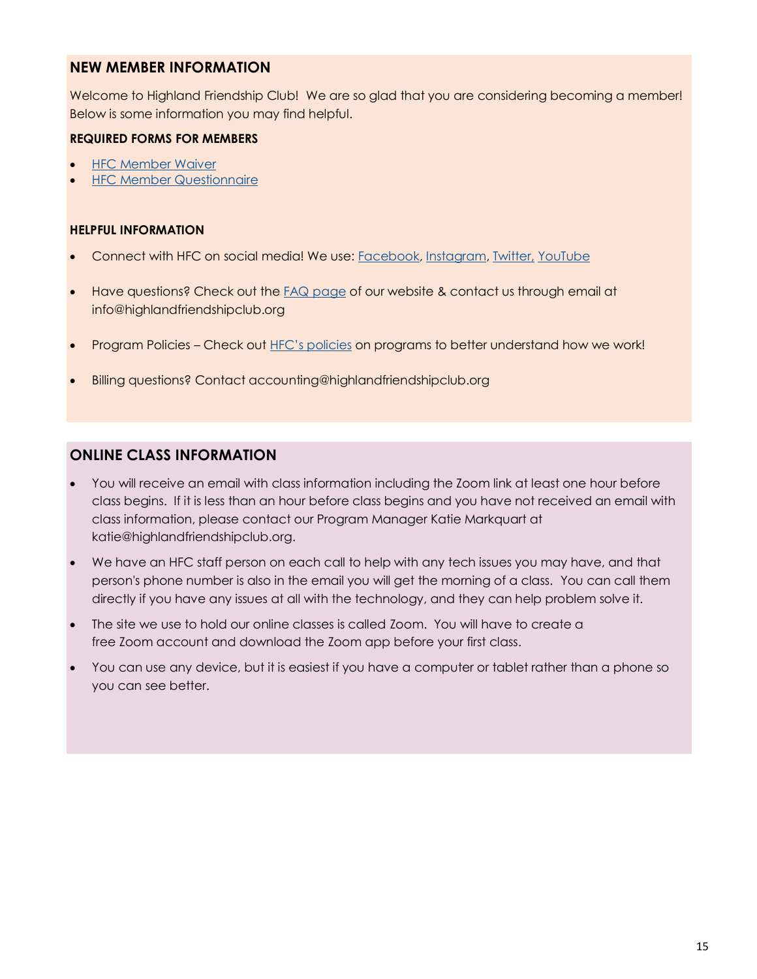#### **NEW MEMBER INFORMATION**

Welcome to Highland Friendship Club! We are so glad that you are considering becoming a member! Below is some information you may find helpful.

#### **REQUIRED FORMS FOR MEMBERS**

- [HFC Member Waiver](https://www.cognitoforms.com/HighlandFriendshipClub1/HFCAgreementReleaseOfLiability)
- **[HFC Member Questionnaire](https://www.cognitoforms.com/HighlandFriendshipClub1/_2022HFCMemberQuestionnaire)**

#### **HELPFUL INFORMATION**

- Connect with HFC on social media! We use: [Facebook,](https://www.facebook.com/HighlandFriendshipClub) [Instagram,](https://www.instagram.com/highlandfriendshipclub/) [Twitter,](https://twitter.com/HFCupdates) [YouTube](https://www.youtube.com/channel/UCt0B1om1vudYbbg05Xn1ATQ)
- Have questions? Check out the [FAQ page](https://www.highlandfriendshipclub.org/resources/frequently-asked-questions) of our website & contact us through email at info@highlandfriendshipclub.org
- Program Policies Check out [HFC's policies](https://www.highlandfriendshipclub.org/get-involved/membership) on programs to better understand how we work!
- Billing questions? Contact accounting@highlandfriendshipclub.org

### **ONLINE CLASS INFORMATION**

- You will receive an email with class information including the Zoom link at least one hour before class begins. If it is less than an hour before class begins and you have not received an email with class information, please contact our Program Manager Katie Markquart at katie@highlandfriendshipclub.org.
- We have an HFC staff person on each call to help with any tech issues you may have, and that person's phone number is also in the email you will get the morning of a class. You can call them directly if you have any issues at all with the technology, and they can help problem solve it.
- The site we use to hold our online classes is called Zoom. You will have to create a free Zoom account and download the Zoom app before your first class.
- You can use any device, but it is easiest if you have a computer or tablet rather than a phone so you can see better.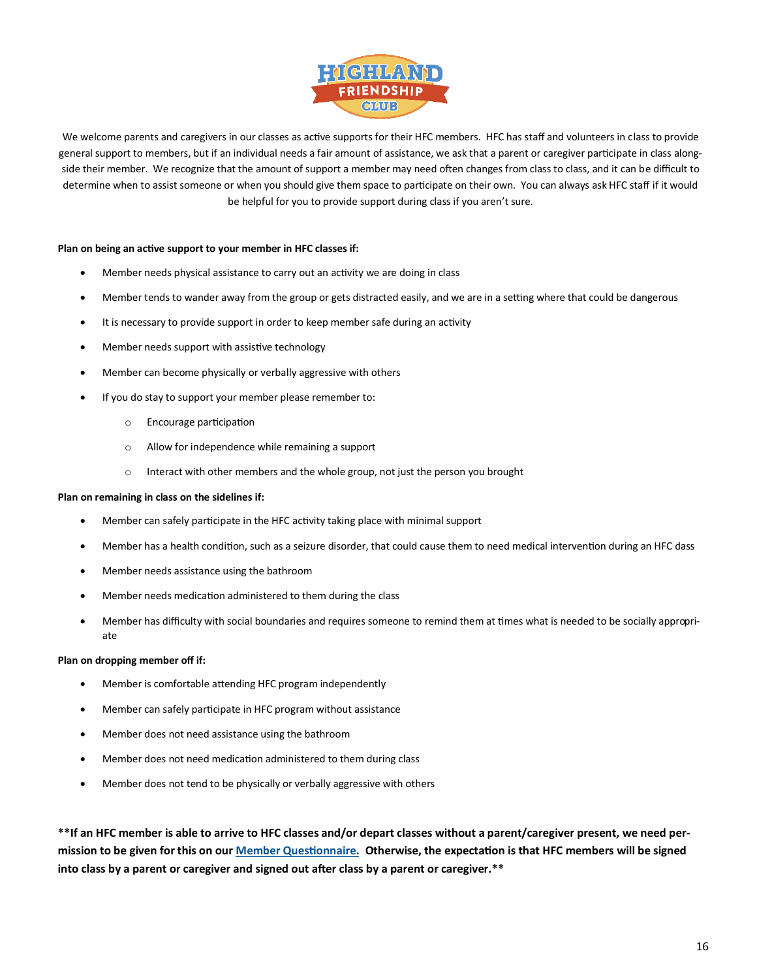

We welcome parents and caregivers in our classes as active supports for their HFC members. HFC has staff and volunteers in class to provide general support to members, but if an individual needs a fair amount of assistance, we ask that a parent or caregiver participate in class alongside their member. We recognize that the amount of support a member may need often changes from class to class, and it can be difficult to determine when to assist someone or when you should give them space to participate on their own. You can always ask HFC staff if it would be helpful for you to provide support during class if you aren't sure.

#### **Plan on being an active support to your member in HFC classes if:**

- Member needs physical assistance to carry out an activity we are doing in class
- Member tends to wander away from the group or gets distracted easily, and we are in a setting where that could be dangerous
- It is necessary to provide support in order to keep member safe during an activity
- Member needs support with assistive technology
- Member can become physically or verbally aggressive with others
- If you do stay to support your member please remember to:
	- o Encourage participation
	- o Allow for independence while remaining a support
	- $\circ$  Interact with other members and the whole group, not just the person you brought

#### **Plan on remaining in class on the sidelines if:**

- Member can safely participate in the HFC activity taking place with minimal support
- Member has a health condition, such as a seizure disorder, that could cause them to need medical intervention during an HFC dass
- Member needs assistance using the bathroom
- Member needs medication administered to them during the class
- Member has difficulty with social boundaries and requires someone to remind them at times what is needed to be socially appropriate

#### **Plan on dropping member off if:**

- Member is comfortable attending HFC program independently
- Member can safely participate in HFC program without assistance
- Member does not need assistance using the bathroom
- Member does not need medication administered to them during class
- Member does not tend to be physically or verbally aggressive with others

**\*\*If an HFC member is able to arrive to HFC classes and/or depart classes without a parent/caregiver present, we need permission to be given for this on our [Member Questionnaire.](https://www.cognitoforms.com/HighlandFriendshipClub1/_2022HFCMemberQuestionnaire) Otherwise, the expectation is that HFC members will be signed into class by a parent or caregiver and signed out after class by a parent or caregiver.\*\***